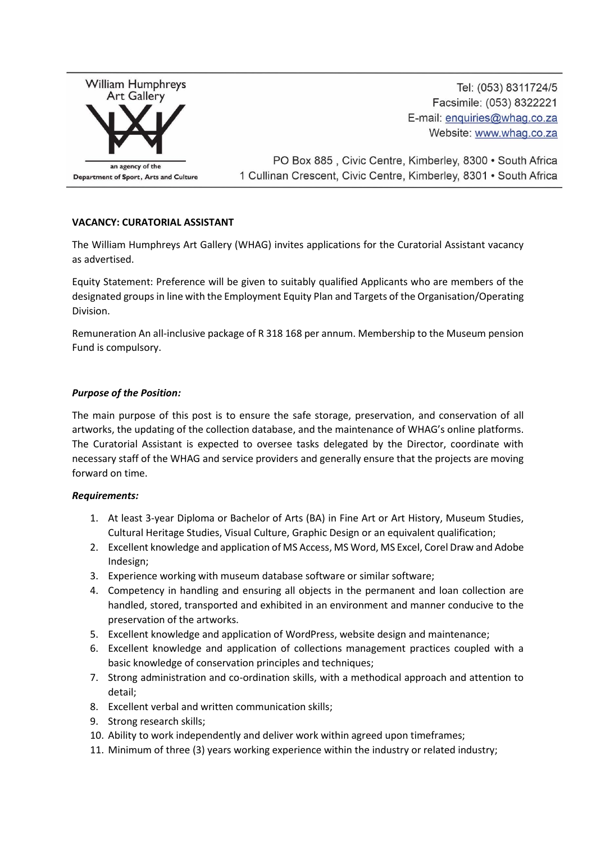

Tel: (053) 8311724/5 Facsimile: (053) 8322221 E-mail: enquiries@whaq.co.za Website: www.whag.co.za

PO Box 885, Civic Centre, Kimberley, 8300 · South Africa 1 Cullinan Crescent, Civic Centre, Kimberley, 8301 • South Africa

## **VACANCY: CURATORIAL ASSISTANT**

The William Humphreys Art Gallery (WHAG) invites applications for the Curatorial Assistant vacancy as advertised.

Equity Statement: Preference will be given to suitably qualified Applicants who are members of the designated groups in line with the Employment Equity Plan and Targets of the Organisation/Operating Division.

Remuneration An all-inclusive package of R 318 168 per annum. Membership to the Museum pension Fund is compulsory.

## *Purpose of the Position:*

The main purpose of this post is to ensure the safe storage, preservation, and conservation of all artworks, the updating of the collection database, and the maintenance of WHAG's online platforms. The Curatorial Assistant is expected to oversee tasks delegated by the Director, coordinate with necessary staff of the WHAG and service providers and generally ensure that the projects are moving forward on time.

## *Requirements:*

- 1. At least 3-year Diploma or Bachelor of Arts (BA) in Fine Art or Art History, Museum Studies, Cultural Heritage Studies, Visual Culture, Graphic Design or an equivalent qualification;
- 2. Excellent knowledge and application of MS Access, MS Word, MS Excel, Corel Draw and Adobe Indesign;
- 3. Experience working with museum database software or similar software;
- 4. Competency in handling and ensuring all objects in the permanent and loan collection are handled, stored, transported and exhibited in an environment and manner conducive to the preservation of the artworks.
- 5. Excellent knowledge and application of WordPress, website design and maintenance;
- 6. Excellent knowledge and application of collections management practices coupled with a basic knowledge of conservation principles and techniques;
- 7. Strong administration and co-ordination skills, with a methodical approach and attention to detail;
- 8. Excellent verbal and written communication skills;
- 9. Strong research skills;
- 10. Ability to work independently and deliver work within agreed upon timeframes;
- 11. Minimum of three (3) years working experience within the industry or related industry;